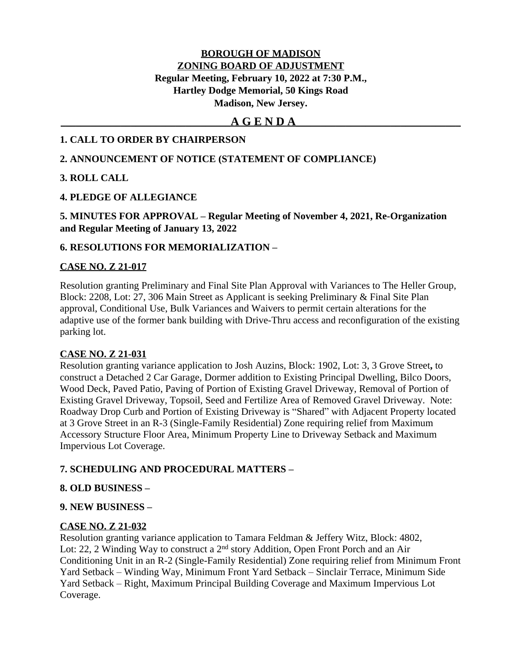# **BOROUGH OF MADISON ZONING BOARD OF ADJUSTMENT Regular Meeting, February 10, 2022 at 7:30 P.M., Hartley Dodge Memorial, 50 Kings Road Madison, New Jersey.**

# **\_\_\_\_\_\_\_\_\_\_\_\_\_\_\_\_\_\_\_\_\_\_\_\_\_\_\_\_\_\_\_\_\_\_A G E N D A\_\_\_\_\_\_\_\_\_\_\_\_\_\_\_\_\_\_\_\_\_\_\_\_\_\_\_\_\_\_\_\_\_**

## **1. CALL TO ORDER BY CHAIRPERSON**

## **2. ANNOUNCEMENT OF NOTICE (STATEMENT OF COMPLIANCE)**

## **3. ROLL CALL**

# **4. PLEDGE OF ALLEGIANCE**

**5. MINUTES FOR APPROVAL – Regular Meeting of November 4, 2021, Re-Organization and Regular Meeting of January 13, 2022**

## **6. RESOLUTIONS FOR MEMORIALIZATION –**

### **CASE NO. Z 21-017**

Resolution granting Preliminary and Final Site Plan Approval with Variances to The Heller Group, Block: 2208, Lot: 27, 306 Main Street as Applicant is seeking Preliminary & Final Site Plan approval, Conditional Use, Bulk Variances and Waivers to permit certain alterations for the adaptive use of the former bank building with Drive-Thru access and reconfiguration of the existing parking lot.

#### **CASE NO. Z 21-031**

Resolution granting variance application to Josh Auzins, Block: 1902, Lot: 3, 3 Grove Street**,** to construct a Detached 2 Car Garage, Dormer addition to Existing Principal Dwelling, Bilco Doors, Wood Deck, Paved Patio, Paving of Portion of Existing Gravel Driveway, Removal of Portion of Existing Gravel Driveway, Topsoil, Seed and Fertilize Area of Removed Gravel Driveway. Note: Roadway Drop Curb and Portion of Existing Driveway is "Shared" with Adjacent Property located at 3 Grove Street in an R-3 (Single-Family Residential) Zone requiring relief from Maximum Accessory Structure Floor Area, Minimum Property Line to Driveway Setback and Maximum Impervious Lot Coverage.

## **7. SCHEDULING AND PROCEDURAL MATTERS –**

## **8. OLD BUSINESS –**

#### **9. NEW BUSINESS –**

## **CASE NO. Z 21-032**

Resolution granting variance application to Tamara Feldman & Jeffery Witz, Block: 4802, Lot: 22, 2 Winding Way to construct a 2<sup>nd</sup> story Addition, Open Front Porch and an Air Conditioning Unit in an R-2 (Single-Family Residential) Zone requiring relief from Minimum Front Yard Setback – Winding Way, Minimum Front Yard Setback – Sinclair Terrace, Minimum Side Yard Setback – Right, Maximum Principal Building Coverage and Maximum Impervious Lot Coverage.